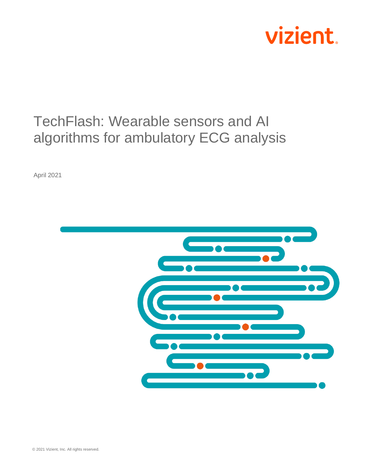

# TechFlash: Wearable sensors and AI algorithms for ambulatory ECG analysis

April 2021

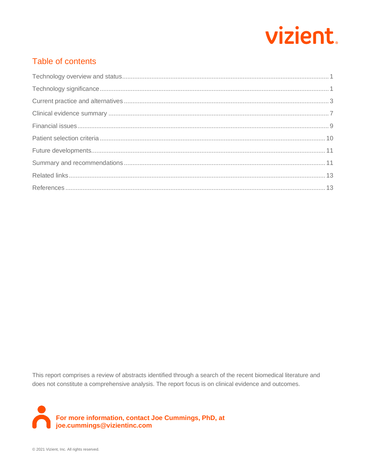

# Table of contents

This report comprises a review of abstracts identified through a search of the recent biomedical literature and does not constitute a comprehensive analysis. The report focus is on clinical evidence and outcomes.

For more information, contact Joe Cummings, PhD, at<br>joe.cummings@vizientinc.com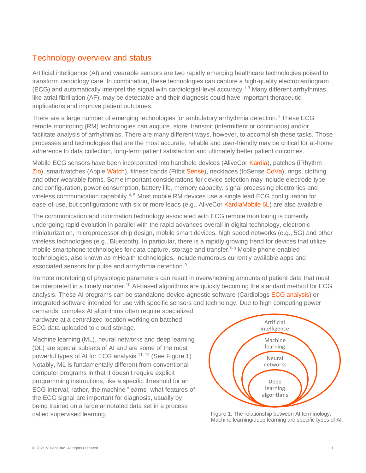### Technology overview and status

Artificial intelligence (AI) and wearable sensors are two rapidly emerging healthcare technologies poised to transform cardiology care. In combination, these technologies can capture a high-quality electrocardiogram (ECG) and automatically interpret the signal with cardiologist-level accuracy.1-3 Many different arrhythmias, like atrial fibrillation (AF), may be detectable and their diagnosis could have important therapeutic implications and improve patient outcomes.

There are a large number of emerging technologies for ambulatory arrhythmia detection.<sup>4</sup> These ECG remote monitoring (RM) technologies can acquire, store, transmit (intermittent or continuous) and/or facilitate analysis of arrhythmias. There are many different ways, however, to accomplish these tasks. Those processes and technologies that are the most accurate, reliable and user-friendly may be critical for at-home adherence to data collection, long-term patient satisfaction and ultimately better patient outcomes.

Mobile ECG sensors have been incorporated into handheld devices (AliveCor [Kardia\)](https://clinicians.alivecor.com/), patches (iRhythm [Zio\)](https://www.irhythmtech.com/), smartwatches (Apple [Watch\)](https://www.apple.com/healthcare/apple-watch/), fitness bands (Fitbit [Sense\)](https://www.fitbit.com/global/us/technology/ecg), necklaces (toSense [CoVa\)](https://www.tosense.com/), rings, clothing and other wearable forms. Some important considerations for device selection may include electrode type and configuration, power consumption, battery life, memory capacity, signal processing electronics and wireless communication capability.<sup>4, 5</sup> Most mobile RM devices use a single lead ECG configuration for ease-of-use, but configurations with six or more leads (e.g., AliveCor [KardiaMobile 6L\)](https://store.alivecor.com/products/kardiamobile6l) are also available.

The communication and information technology associated with ECG remote monitoring is currently undergoing rapid evolution in parallel with the rapid advances overall in digital technology, electronic miniaturization, microprocessor chip design, mobile smart devices, high speed networks (e.g., 5G) and other wireless technologies (e.g., Bluetooth). In particular, there is a rapidly growing trend for devices that utilize mobile smartphone technologies for data capture, storage and transfer.<sup>6-8</sup> Mobile phone-enabled technologies, also known as mHealth technologies, include numerous currently available apps and associated sensors for pulse and arrhythmia detection.<sup>9</sup>

Remote monitoring of physiologic parameters can result in overwhelming amounts of patient data that must be interpreted in a timely manner.<sup>10</sup> AI-based algorithms are quickly becoming the standard method for ECG analysis. These AI programs can be standalone device-agnostic software (Cardiologs [ECG analysis\)](https://cardiologs.com/) or integrated software intended for use with specific sensors and technology. Due to high computing power

demands, complex AI algorithms often require specialized hardware at a centralized location working on batched ECG data uploaded to cloud storage.

Machine learning (ML), neural networks and deep learning (DL) are special subsets of AI and are some of the most powerful types of AI for ECG analysis.<sup>11, 12</sup> (See Figure 1) Notably, ML is fundamentally different from conventional computer programs in that it doesn't require explicit programming instructions, like a specific threshold for an ECG interval; rather, the machine "learns" what features of the ECG signal are important for diagnosis, usually by being trained on a large annotated data set in a process called supervised learning. The relationship between AI terminology.



Machine learning/deep learning are specific types of AI.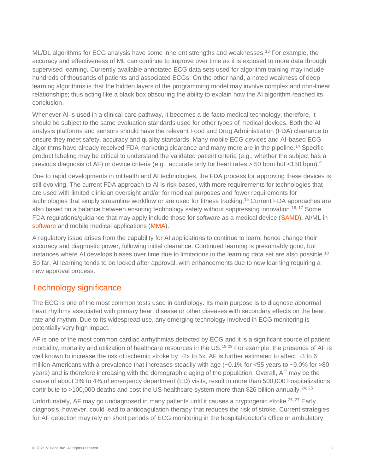ML/DL algorithms for ECG analysis have some inherent strengths and weaknesses.<sup>13</sup> For example, the accuracy and effectiveness of ML can continue to improve over time as it is exposed to more data through supervised learning. Currently available annotated ECG data sets used for algorithm training may include hundreds of thousands of patients and associated ECGs. On the other hand, a noted weakness of deep learning algorithms is that the hidden layers of the programming model may involve complex and non-linear relationships; thus acting like a black box obscuring the ability to explain how the AI algorithm reached its conclusion.

Whenever AI is used in a clinical care pathway, it becomes a de facto medical technology; therefore, it should be subject to the same evaluation standards used for other types of medical devices. Both the AI analysis platforms and sensors should have the relevant Food and Drug Administration (FDA) clearance to ensure they meet safety, accuracy and quality standards. Many mobile ECG devices and AI-based ECG algorithms have already received FDA marketing clearance and many more are in the pipeline.<sup>14</sup> Specific product labeling may be critical to understand the validated patient criteria (e.g., whether the subject has a previous diagnosis of AF) or device criteria (e.g., accurate only for heart rates > 50 bpm but <150 bpm).<sup>9</sup>

Due to rapid developments in mHealth and AI technologies, the FDA process for approving these devices is still evolving. The current FDA approach to AI is risk-based, with more requirements for technologies that are used with limited clinician oversight and/or for medical purposes and fewer requirements for technologies that simply streamline workflow or are used for fitness tracking.<sup>15</sup> Current FDA approaches are also based on a balance between ensuring technology safety without suppressing innovation.16, 17 Some FDA regulations/guidance that may apply include those for software as a medical device [\(SAMD\)](https://www.fda.gov/medical-devices/digital-health-center-excellence/software-medical-device-samd), AI/ML in [software](https://www.fda.gov/medical-devices/software-medical-device-samd/artificial-intelligence-and-machine-learning-software-medical-device) and mobile medical applications [\(MMA\)](https://www.fda.gov/medical-devices/digital-health-center-excellence/device-software-functions-including-mobile-medical-applications).

A regulatory issue arises from the capability for AI applications to continue to learn, hence change their accuracy and diagnostic power, following initial clearance. Continued learning is presumably good, but instances where AI develops biases over time due to limitations in the learning data set are also possible.<sup>18</sup> So far, AI learning tends to be locked after approval, with enhancements due to new learning requiring a new approval process.

## Technology significance

The ECG is one of the most common tests used in cardiology. Its main purpose is to diagnose abnormal heart rhythms associated with primary heart disease or other diseases with secondary effects on the heart rate and rhythm. Due to its widespread use, any emerging technology involved in ECG monitoring is potentially very high impact.

AF is one of the most common cardiac arrhythmias detected by ECG and it is a significant source of patient morbidity, mortality and utilization of healthcare resources in the US.<sup>19-23</sup> For example, the presence of AF is well known to increase the risk of ischemic stroke by ~2x to 5x. AF is further estimated to affect ~3 to 6 million Americans with a prevalence that increases steadily with age (~0.1% for <55 years to ~9.0% for >80 years) and is therefore increasing with the demographic aging of the population. Overall, AF may be the cause of about 3% to 4% of emergency department (ED) visits, result in more than 500,000 hospitalizations, contribute to >100,000 deaths and cost the US healthcare system more than \$26 billion annually.<sup>24, 25</sup>

Unfortunately, AF may go undiagnosed in many patients until it causes a cryptogenic stroke.<sup>26, 27</sup> Early diagnosis, however, could lead to anticoagulation therapy that reduces the risk of stroke. Current strategies for AF detection may rely on short periods of ECG monitoring in the hospital/doctor's office or ambulatory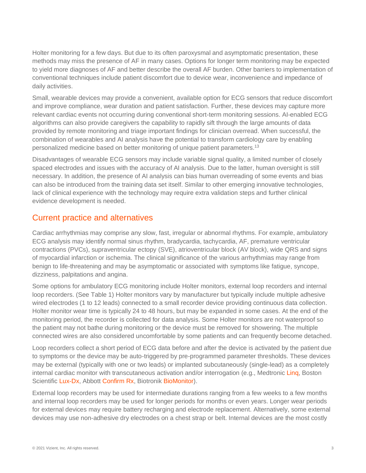Holter monitoring for a few days. But due to its often paroxysmal and asymptomatic presentation, these methods may miss the presence of AF in many cases. Options for longer term monitoring may be expected to yield more diagnoses of AF and better describe the overall AF burden. Other barriers to implementation of conventional techniques include patient discomfort due to device wear, inconvenience and impedance of daily activities.

Small, wearable devices may provide a convenient, available option for ECG sensors that reduce discomfort and improve compliance, wear duration and patient satisfaction. Further, these devices may capture more relevant cardiac events not occurring during conventional short-term monitoring sessions. AI-enabled ECG algorithms can also provide caregivers the capability to rapidly sift through the large amounts of data provided by remote monitoring and triage important findings for clinician overread. When successful, the combination of wearables and AI analysis have the potential to transform cardiology care by enabling personalized medicine based on better monitoring of unique patient parameters.<sup>13</sup>

Disadvantages of wearable ECG sensors may include variable signal quality, a limited number of closely spaced electrodes and issues with the accuracy of AI analysis. Due to the latter, human oversight is still necessary. In addition, the presence of AI analysis can bias human overreading of some events and bias can also be introduced from the training data set itself. Similar to other emerging innovative technologies, lack of clinical experience with the technology may require extra validation steps and further clinical evidence development is needed.

#### Current practice and alternatives

Cardiac arrhythmias may comprise any slow, fast, irregular or abnormal rhythms. For example, ambulatory ECG analysis may identify normal sinus rhythm, bradycardia, tachycardia, AF, premature ventricular contractions (PVCs), supraventricular ectopy (SVE), atrioventricular block (AV block), wide QRS and signs of myocardial infarction or ischemia. The clinical significance of the various arrhythmias may range from benign to life-threatening and may be asymptomatic or associated with symptoms like fatigue, syncope, dizziness, palpitations and angina.

Some options for ambulatory ECG monitoring include Holter monitors, external loop recorders and internal loop recorders. (See Table 1) Holter monitors vary by manufacturer but typically include multiple adhesive wired electrodes (1 to 12 leads) connected to a small recorder device providing continuous data collection. Holter monitor wear time is typically 24 to 48 hours, but may be expanded in some cases. At the end of the monitoring period, the recorder is collected for data analysis. Some Holter monitors are not waterproof so the patient may not bathe during monitoring or the device must be removed for showering. The multiple connected wires are also considered uncomfortable by some patients and can frequently become detached.

Loop recorders collect a short period of ECG data before and after the device is activated by the patient due to symptoms or the device may be auto-triggered by pre-programmed parameter thresholds. These devices may be external (typically with one or two leads) or implanted subcutaneously (single-lead) as a completely internal cardiac monitor with transcutaneous activation and/or interrogation (e.g., Medtronic [Linq,](https://www.medtronic.com/us-en/healthcare-professionals/products/cardiac-rhythm/cardiac-monitors/reveal-linq-icm.html) Boston Scientific [Lux-Dx,](https://www.bostonscientific.com/en-US/medical-specialties/electrophysiology/icm-lux-dx.html?gclid=EAIaIQobChMInOTb3NLp7wIVNCqzAB34vQVtEAAYASAAEgLCuPD_BwE) Abbott [Confirm Rx,](https://www.cardiovascular.abbott/us/en/hcp/products/cardiac-rhythm-management/insertable-cardiac-monitors/confirm-rx/about.html) Biotronik [BioMonitor\)](https://www.biotronik.com/en-gb/products/arrythmia-monitoring/biomonitor-2).

External loop recorders may be used for intermediate durations ranging from a few weeks to a few months and internal loop recorders may be used for longer periods for months or even years. Longer wear periods for external devices may require battery recharging and electrode replacement. Alternatively, some external devices may use non-adhesive dry electrodes on a chest strap or belt. Internal devices are the most costly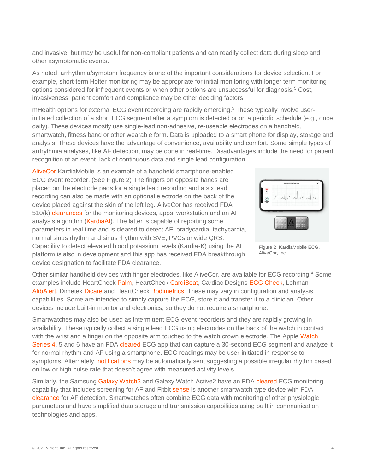and invasive, but may be useful for non-compliant patients and can readily collect data during sleep and other asymptomatic events.

As noted, arrhythmia/symptom frequency is one of the important considerations for device selection. For example, short-term Holter monitoring may be appropriate for initial monitoring with longer term monitoring options considered for infrequent events or when other options are unsuccessful for diagnosis.<sup>5</sup> Cost, invasiveness, patient comfort and compliance may be other deciding factors.

mHealth options for external ECG event recording are rapidly emerging.<sup>5</sup> These typically involve userinitiated collection of a short ECG segment after a symptom is detected or on a periodic schedule (e.g., once daily). These devices mostly use single-lead non-adhesive, re-useable electrodes on a handheld, smartwatch, fitness band or other wearable form. Data is uploaded to a smart phone for display, storage and analysis. These devices have the advantage of convenience, availability and comfort. Some simple types of arrhythmia analyses, like AF detection, may be done in real-time. Disadvantages include the need for patient recognition of an event, lack of continuous data and single lead configuration.

[AliveCor](https://clinicians.alivecor.com/) KardiaMobile is an example of a handheld smartphone-enabled ECG event recorder. (See Figure 2) The fingers on opposite hands are placed on the electrode pads for a single lead recording and a six lead recording can also be made with an optional electrode on the back of the device placed against the skin of the left leg. AliveCor has received FDA 510(k) [clearances](https://www.accessdata.fda.gov/scripts/cdrh/cfdocs/cfpmn/pmn.cfm?start_search=1&Center=&Panel=&ProductCode=&KNumber=&Applicant=alivecor&DeviceName=&Type=&ThirdPartyReviewed=&ClinicalTrials=&Decision=&DecisionDateFrom=&DecisionDateTo=04%2F01%2F2021&IVDProducts=&Redact510K=&CombinationProducts=&ZNumber=&PAGENUM=25) for the monitoring devices, apps, workstation and an AI analysis algorithm [\(KardiaAI\)](https://www.alivecor.com/press/press_release/fda-clears-first-of-its-kind-algorithm-suite-for-personal-ecg/). The latter is capable of reporting some parameters in real time and is cleared to detect AF, bradycardia, tachycardia, normal sinus rhythm and sinus rhythm with SVE, PVCs or wide QRS. Capability to detect elevated blood potassium levels (Kardia-K) using the AI platform is also in development and this app has received FDA breakthrough device designation to facilitate FDA clearance.

Figure 2. KardiaMobile ECG. AliveCor, Inc.

Other similar handheld devices with finger electrodes, like AliveCor, are available for ECG recording.<sup>4</sup> Some examples include HeartCheck [Palm,](https://www.theheartcheck.com/index.html) HeartCheck [CardiBeat,](https://www.theheartcheck.com/index.html) Cardiac Designs [ECG Check,](https://www.cardiacdesigns.com/) Lohman [AfibAlert,](https://www.lohmantech.com/) Dimetek [Dicare](http://www.dimetekus.com/Portable-ECG_c540) and HeartCheck [Bodimetrics.](https://theheartcheck.myshopify.com/products/bodimetrics-performance-monitor) These may vary in configuration and analysis capabilities. Some are intended to simply capture the ECG, store it and transfer it to a clinician. Other devices include built-in monitor and electronics, so they do not require a smartphone.

Smartwatches may also be used as intermittent ECG event recorders and they are rapidly growing in availability. These typically collect a single lead ECG using electrodes on the back of the watch in contact with the wrist and a finger on the opposite arm touched to the watch crown electrode. The Apple Watch [Series 4,](https://support.apple.com/en-us/HT208955) 5 and 6 have an FDA [cleared](https://www.accessdata.fda.gov/cdrh_docs/reviews/DEN180044.pdf) ECG app that can capture a 30-second ECG segment and analyze it for normal rhythm and AF using a smartphone. ECG readings may be user-initiated in response to symptoms. Alternately, [notifications](https://support.apple.com/en-us/HT208931) may be automatically sent suggesting a possible irregular rhythm based on low or high pulse rate that doesn't agree with measured activity levels.

Similarly, the Samsung [Galaxy Watch3](https://news.samsung.com/global/fda-cleared-electrocardiogram-monitor-app-is-available-in-the-us-starting-today-on-galaxy-watch3-and-galaxy-watch-active2) and Galaxy Watch Active2 have an FD[A cleared](https://www.accessdata.fda.gov/cdrh_docs/pdf20/K201168.pdf) ECG monitoring capability that includes screening for AF and Fitbit [sense](https://www.fitbit.com/global/us/products/smartwatches/sense) is another smartwatch type device with FDA [clearance](https://www.accessdata.fda.gov/cdrh_docs/pdf20/K200948.pdf) for AF detection. Smartwatches often combine ECG data with monitoring of other physiologic parameters and have simplified data storage and transmission capabilities using built in communication technologies and apps.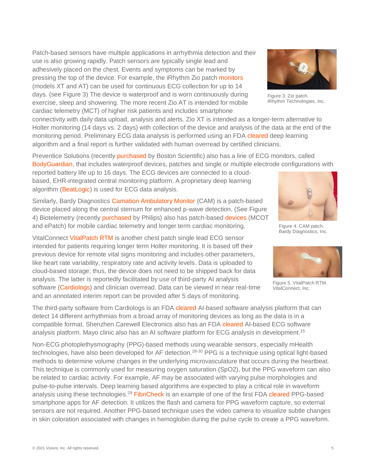Patch-based sensors have multiple applications in arrhythmia detection and their use is also growing rapidly. Patch sensors are typically single lead and adhesively placed on the chest. Events and symptoms can be marked by pressing the top of the device. For example, the iRhythm Zio patch [monitors](https://www.irhythmtech.com/providers/zio-service/zio-monitors) (models XT and AT) can be used for continuous ECG collection for up to 14 days. (see Figure 3) The device is waterproof and is worn continuously during exercise, sleep and showering. The more recent Zio AT is intended for mobile cardiac telemetry (MCT) of higher risk patients and includes smartphone

connectivity with daily data upload, analysis and alerts. Zio XT is intended as a longer-term alternative to Holter monitoring (14 days vs. 2 days) with collection of the device and analysis of the data at the end of the monitoring period. Preliminary ECG data analysis is performed using an FDA [cleared](https://www.accessdata.fda.gov/scripts/cdrh/cfdocs/cfpmn/pmn.cfm?start_search=1&Center=&Panel=&ProductCode=&KNumber=&Applicant=irhythm&DeviceName=&Type=&ThirdPartyReviewed=&ClinicalTrials=&Decision=&DecisionDateFrom=&DecisionDateTo=04%2F02%2F2021&IVDProducts=&Redact510K=&CombinationProducts=&ZNumber=&PAGENUM=25) deep learning algorithm and a final report is further validated with human overread by certified clinicians.

Preventice Solutions (recently [purchased](https://news.bostonscientific.com/2021-01-21-Boston-Scientific-Announces-Agreement-To-Acquire-Preventice-Solutions-Inc) by Boston Scientific) also has a line of ECG monitors, called [BodyGuardian,](https://www.preventicesolutions.com/healthcare-professionals/) that includes waterproof devices, patches and single or multiple electrode configurations with

reported battery life up to 16 days. The ECG devices are connected to a cloudbased, EHR-integrated central monitoring platform. A proprietary deep learning algorithm [\(BeatLogic\)](https://www.preventicesolutions.com/healthcare-professionals/ai) is used for ECG data analysis.

Similarly, Bardy Diagnostics [Carnation Ambulatory Monitor](https://www.bardydx.com/solutions/cam/) (CAM) is a patch-based device placed along the central sternum for enhanced p-wave detection. (See Figure 4) Biotelemetry (recently [purchased](https://www.philips.com/a-w/about/news/archive/standard/news/press/2021/20210209-philips-completes-the-acquisition-of-biotelemetry-inc.html) by Philips) also has patch-based [devices](https://www.gobio.com/heart-monitoring/) (MCOT and ePatch) for mobile cardiac telemetry and longer term cardiac monitoring.

VitalConnect [VitalPatch RTM](https://vitalconnect.com/cardiac-monitoring/) is another chest patch single lead ECG sensor intended for patients requiring longer term Holter monitoring. It is based off their previous device for remote vital signs monitoring and includes other parameters, like heart rate variability, respiratory rate and activity levels. Data is uploaded to cloud-based storage; thus, the device does not need to be shipped back for data analysis. The latter is reportedly facilitated by use of third-party AI analysis software [\(Cardiologs\)](https://cardiologs.com/) and clinician overread. Data can be viewed in near real-time and an annotated interim report can be provided after 5 days of monitoring.

The third-party software from Cardiologs is an FDA [cleared](https://www.accessdata.fda.gov/cdrh_docs/pdf17/K170568.pdf) AI-based software analysis platform that can detect 14 different arrhythmias from a broad array of monitoring devices as long as the data is in a compatible format. Shenzhen Carewell Electronics also has an FDA [cleared](https://www.accessdata.fda.gov/cdrh_docs/pdf20/K200036.pdf) AI-based ECG software analysis platform. Mayo clinic also has an AI software platform for ECG analysis in development.<sup>15</sup>

Non-ECG photoplethysmography (PPG)-based methods using wearable sensors, especially mHealth technologies, have also been developed for AF detection.<sup>28-30</sup> PPG is a technique using optical light-based methods to determine volume changes in the underlying microvasculature that occurs during the heartbeat. This technique is commonly used for measuring oxygen saturation (SpO2), but the PPG waveform can also be related to cardiac activity. For example, AF may be associated with varying pulse morphologies and pulse-to-pulse intervals. Deep learning based algorithms are expected to play a critical role in waveform analysis using these technologies.<sup>29</sup> [FibriCheck](https://www.fibricheck.com/) is an example of one of the first FDA [cleared](https://www.accessdata.fda.gov/cdrh_docs/pdf17/K173872.pdf) PPG-based smartphone apps for AF detection. It utilizes the flash and camera for PPG waveform capture, so external sensors are not required. Another PPG-based technique uses the video camera to visualize subtle changes in skin coloration associated with changes in hemoglobin during the pulse cycle to create a PPG waveform.

Figure 3. Zio patch. iRhythm Technologies, Inc.





Figure 4. CAM patch. Bardy Diagnostics, Inc.

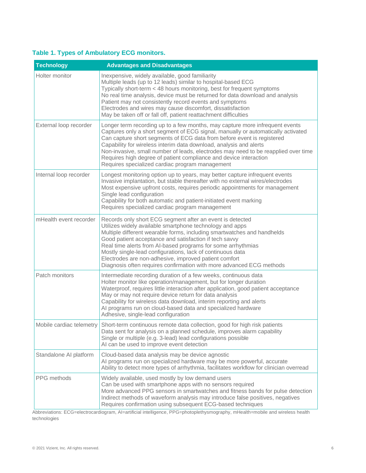#### **Table 1. Types of Ambulatory ECG monitors.**

| <b>Technology</b>      | <b>Advantages and Disadvantages</b>                                                                                                                                                                                                                                                                                                                                                                                                                                                                                            |
|------------------------|--------------------------------------------------------------------------------------------------------------------------------------------------------------------------------------------------------------------------------------------------------------------------------------------------------------------------------------------------------------------------------------------------------------------------------------------------------------------------------------------------------------------------------|
| Holter monitor         | Inexpensive, widely available, good familiarity<br>Multiple leads (up to 12 leads) similar to hospital-based ECG<br>Typically short-term < 48 hours monitoring, best for frequent symptoms<br>No real time analysis, device must be returned for data download and analysis<br>Patient may not consistently record events and symptoms<br>Electrodes and wires may cause discomfort, dissatisfaction<br>May be taken off or fall off, patient reattachment difficulties                                                        |
| External loop recorder | Longer term recording up to a few months, may capture more infrequent events<br>Captures only a short segment of ECG signal, manually or automatically activated<br>Can capture short segments of ECG data from before event is registered<br>Capability for wireless interim data download, analysis and alerts<br>Non-invasive, small number of leads, electrodes may need to be reapplied over time<br>Requires high degree of patient compliance and device interaction<br>Requires specialized cardiac program management |
| Internal loop recorder | Longest monitoring option up to years, may better capture infrequent events<br>Invasive implantation, but stable thereafter with no external wires/electrodes<br>Most expensive upfront costs, requires periodic appointments for management<br>Single lead configuration<br>Capability for both automatic and patient-initiated event marking<br>Requires specialized cardiac program management                                                                                                                              |
| mHealth event recorder | Records only short ECG segment after an event is detected<br>Utilizes widely available smartphone technology and apps<br>Multiple different wearable forms, including smartwatches and handhelds<br>Good patient acceptance and satisfaction if tech savvy<br>Real time alerts from Al-based programs for some arrhythmias<br>Mostly single-lead configurations, lack of continuous data<br>Electrodes are non-adhesive, improved patient comfort<br>Diagnosis often requires confirmation with more advanced ECG methods      |
| Patch monitors         | Intermediate recording duration of a few weeks, continuous data<br>Holter monitor like operation/management, but for longer duration<br>Waterproof, requires little interaction after application, good patient acceptance<br>May or may not require device return for data analysis<br>Capability for wireless data download, interim reporting and alerts<br>Al programs run on cloud-based data and specialized hardware<br>Adhesive, single-lead configuration                                                             |
|                        | Mobile cardiac telemetry Short-term continuous remote data collection, good for high risk patients<br>Data sent for analysis on a planned schedule, improves alarm capability<br>Single or multiple (e.g. 3-lead) lead configurations possible<br>AI can be used to improve event detection                                                                                                                                                                                                                                    |
| Standalone AI platform | Cloud-based data analysis may be device agnostic<br>Al programs run on specialized hardware may be more powerful, accurate<br>Ability to detect more types of arrhythmia, facilitates workflow for clinician overread                                                                                                                                                                                                                                                                                                          |
| PPG methods            | Widely available, used mostly by low demand users<br>Can be used with smartphone apps with no sensors required<br>More advanced PPG sensors in smartwatches and fitness bands for pulse detection<br>Indirect methods of waveform analysis may introduce false positives, negatives<br>Requires confirmation using subsequent ECG-based techniques                                                                                                                                                                             |

Abbreviations: ECG=electrocardiogram, AI=artificial intelligence, PPG=photoplethysmography, mHealth=mobile and wireless health technologies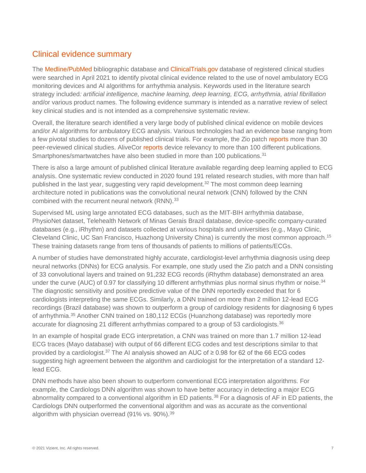### Clinical evidence summary

The [Medline/PubMed](https://www.ncbi.nlm.nih.gov/pubmed) bibliographic database and [ClinicalTrials.gov](https://clinicaltrials.gov/ct2/home) database of registered clinical studies were searched in April 2021 to identify pivotal clinical evidence related to the use of novel ambulatory ECG monitoring devices and AI algorithms for arrhythmia analysis. Keywords used in the literature search strategy included*: artificial intelligence, machine learning, deep learning, ECG, arrhythmia, atrial fibrillation* and/or various product names. The following evidence summary is intended as a narrative review of select key clinical studies and is not intended as a comprehensive systematic review.

Overall, the literature search identified a very large body of published clinical evidence on mobile devices and/or AI algorithms for ambulatory ECG analysis. Various technologies had an evidence base ranging from a few pivotal studies to dozens of published clinical trials. For example, the Zio patc[h reports](https://www.irhythmtech.com/professionals/evidence-2) more than 30 peer-reviewed clinical studies. AliveCor [reports](https://clinicians.alivecor.com/research/) device relevancy to more than 100 different publications. Smartphones/smartwatches have also been studied in more than 100 publications.<sup>31</sup>

There is also a large amount of published clinical literature available regarding deep learning applied to ECG analysis. One systematic review conducted in 2020 found 191 related research studies, with more than half published in the last year, suggesting very rapid development.<sup>32</sup> The most common deep learning architecture noted in publications was the convolutional neural network (CNN) followed by the CNN combined with the recurrent neural network (RNN).<sup>33</sup>

Supervised ML using large annotated ECG databases, such as the MIT-BIH arrhythmia database, PhysioNet dataset, Telehealth Network of Minas Gerais Brazil database, device-specific company-curated databases (e.g., iRhythm) and datasets collected at various hospitals and universities (e.g., Mayo Clinic, Cleveland Clinic, UC San Francisco, Huazhong University China) is currently the most common approach.<sup>15</sup> These training datasets range from tens of thousands of patients to millions of patients/ECGs.

A number of studies have demonstrated highly accurate, cardiologist-level arrhythmia diagnosis using deep neural networks (DNNs) for ECG analysis. For example, one study used the Zio patch and a DNN consisting of 33 convolutional layers and trained on 91,232 ECG records (iRhythm database) demonstrated an area under the curve (AUC) of 0.97 for classifying 10 different arrhythmias plus normal sinus rhythm or noise.<sup>34</sup> The diagnostic sensitivity and positive predictive value of the DNN reportedly exceeded that for 6 cardiologists interpreting the same ECGs. Similarly, a DNN trained on more than 2 million 12-lead ECG recordings (Brazil database) was shown to outperform a group of cardiology residents for diagnosing 6 types of arrhythmia.<sup>35</sup> Another CNN trained on 180,112 ECGs (Huanzhong database) was reportedly more accurate for diagnosing 21 different arrhythmias compared to a group of 53 cardiologists.<sup>36</sup>

In an example of hospital grade ECG interpretation, a CNN was trained on more than 1.7 million 12-lead ECG traces (Mayo database) with output of 66 different ECG codes and test descriptions similar to that provided by a cardiologist.<sup>37</sup> The AI analysis showed an AUC of  $\geq$  0.98 for 62 of the 66 ECG codes suggesting high agreement between the algorithm and cardiologist for the interpretation of a standard 12 lead ECG.

DNN methods have also been shown to outperform conventional ECG interpretation algorithms. For example, the Cardiologs DNN algorithm was shown to have better accuracy in detecting a major ECG abnormality compared to a conventional algorithm in ED patients.<sup>38</sup> For a diagnosis of AF in ED patients, the Cardiologs DNN outperformed the conventional algorithm and was as accurate as the conventional algorithm with physician overread (91% vs. 90%).<sup>39</sup>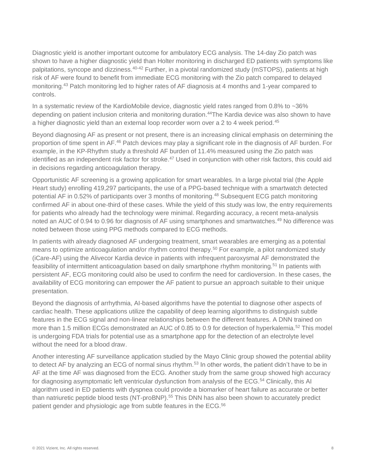Diagnostic yield is another important outcome for ambulatory ECG analysis. The 14-day Zio patch was shown to have a higher diagnostic yield than Holter monitoring in discharged ED patients with symptoms like palpitations, syncope and dizziness.<sup>40-42</sup> Further, in a pivotal randomized study (mSTOPS), patients at high risk of AF were found to benefit from immediate ECG monitoring with the Zio patch compared to delayed monitoring.<sup>43</sup> Patch monitoring led to higher rates of AF diagnosis at 4 months and 1-year compared to controls.

In a systematic review of the KardioMobile device, diagnostic yield rates ranged from 0.8% to ~36% depending on patient inclusion criteria and monitoring duration. <sup>44</sup>The Kardia device was also shown to have a higher diagnostic yield than an external loop recorder worn over a 2 to 4 week period.<sup>45</sup>

Beyond diagnosing AF as present or not present, there is an increasing clinical emphasis on determining the proportion of time spent in AF.<sup>46</sup> Patch devices may play a significant role in the diagnosis of AF burden. For example, in the KP-Rhythm study a threshold AF burden of 11.4% measured using the Zio patch was identified as an independent risk factor for stroke.<sup>47</sup> Used in conjunction with other risk factors, this could aid in decisions regarding anticoagulation therapy.

Opportunistic AF screening is a growing application for smart wearables. In a large pivotal trial (the Apple Heart study) enrolling 419,297 participants, the use of a PPG-based technique with a smartwatch detected potential AF in 0.52% of participants over 3 months of monitoring.<sup>48</sup> Subsequent ECG patch monitoring confirmed AF in about one-third of these cases. While the yield of this study was low, the entry requirements for patients who already had the technology were minimal. Regarding accuracy, a recent meta-analysis noted an AUC of 0.94 to 0.96 for diagnosis of AF using smartphones and smartwatches.<sup>49</sup> No difference was noted between those using PPG methods compared to ECG methods.

In patients with already diagnosed AF undergoing treatment, smart wearables are emerging as a potential means to optimize anticoagulation and/or rhythm control therapy.<sup>50</sup> For example, a pilot randomized study (iCare-AF) using the Alivecor Kardia device in patients with infrequent paroxysmal AF demonstrated the feasibility of intermittent anticoagulation based on daily smartphone rhythm monitoring.<sup>51</sup> In patients with persistent AF, ECG monitoring could also be used to confirm the need for cardioversion. In these cases, the availability of ECG monitoring can empower the AF patient to pursue an approach suitable to their unique presentation.

Beyond the diagnosis of arrhythmia, AI-based algorithms have the potential to diagnose other aspects of cardiac health. These applications utilize the capability of deep learning algorithms to distinguish subtle features in the ECG signal and non-linear relationships between the different features. A DNN trained on more than 1.5 million ECGs demonstrated an AUC of 0.85 to 0.9 for detection of hyperkalemia.<sup>52</sup> This model is undergoing FDA trials for potential use as a smartphone app for the detection of an electrolyte level without the need for a blood draw.

Another interesting AF surveillance application studied by the Mayo Clinic group showed the potential ability to detect AF by analyzing an ECG of normal sinus rhythm.<sup>53</sup> In other words, the patient didn't have to be in AF at the time AF was diagnosed from the ECG. Another study from the same group showed high accuracy for diagnosing asymptomatic left ventricular dysfunction from analysis of the ECG.<sup>54</sup> Clinically, this AI algorithm used in ED patients with dyspnea could provide a biomarker of heart failure as accurate or better than natriuretic peptide blood tests (NT-proBNP).<sup>55</sup> This DNN has also been shown to accurately predict patient gender and physiologic age from subtle features in the ECG.56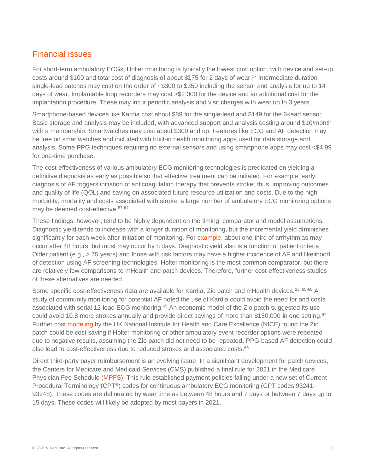### Financial issues

For short-term ambulatory ECGs, Holter monitoring is typically the lowest cost option, with device and set-up costs around \$100 and total cost of diagnosis of about \$175 for 2 days of wear.<sup>57</sup> Intermediate duration single-lead patches may cost on the order of ~\$300 to \$350 including the sensor and analysis for up to 14 days of wear. Implantable loop recorders may cost >\$2,000 for the device and an additional cost for the implantation procedure. These may incur periodic analysis and visit charges with wear up to 3 years.

Smartphone-based devices like Kardia cost about \$89 for the single-lead and \$149 for the 6-lead sensor. Basic storage and analysis may be included, with advanced support and analysis costing around \$10/month with a membership. Smartwatches may cost about \$300 and up. Features like ECG and AF detection may be free on smartwatches and included with built-in health monitoring apps used for data storage and analysis. Some PPG techniques requiring no external sensors and using smartphone apps may cost <\$4.99 for one-time purchase.

The cost-effectiveness of various ambulatory ECG monitoring technologies is predicated on yielding a definitive diagnosis as early as possible so that effective treatment can be initiated. For example, early diagnosis of AF triggers initiation of anticoagulation therapy that prevents stroke; thus, improving outcomes and quality of life (QOL) and saving on associated future resource utilization and costs. Due to the high morbidity, mortality and costs associated with stroke, a large number of ambulatory ECG monitoring options may be deemed cost-effective.57-64

These findings, however, tend to be highly dependent on the timing, comparator and model assumptions. Diagnostic yield tends to increase with a longer duration of monitoring, but the incremental yield diminishes significantly for each week after initiation of monitoring. For [example,](https://www.eplabdigest.com/cost-effective-ambulatory-ecg-monitoring) about one-third of arrhythmias may occur after 48 hours, but most may occur by 8 days. Diagnostic yield also is a function of patient criteria. Older patient (e.g., > 75 years) and those with risk factors may have a higher incidence of AF and likelihood of detection using AF screening technologies. Holter monitoring is the most common comparator, but there are relatively few comparisons to mHealth and patch devices. Therefore, further cost-effectiveness studies of these alternatives are needed.

Some specific cost-effectiveness data are available for Kardia, Zio patch and mHealth devices.<sup>25, 65-68</sup> A study of community monitoring for potential AF noted the use of Kardia could avoid the need for and costs associated with serial 12-lead ECG monitoring.<sup>65</sup> An economic model of the Zio patch suggested its use could avoid 10.8 more strokes annually and provide direct savings of more than \$150,000 in one setting.<sup>67</sup> Further cost [modeling](https://www.nice.org.uk/consultations/934/1/evidence#cost-evidence) by the UK National Institute for Health and Care Excellence (NICE) found the Zio patch could be cost saving if Holter monitoring or other ambulatory event recorder options were repeated due to negative results, assuming the Zio patch did not need to be repeated. PPG-based AF detection could also lead to cost-effectiveness due to reduced strokes and associated costs.<sup>66</sup>

Direct third-party payer reimbursement is an evolving issue. In a significant development for patch devices, the Centers for Medicare and Medicaid Services (CMS) published a final rule for 2021 in the Medicare Physician Fee Schedule [\(MPFS\)](https://www.cms.gov/Medicare/Medicare-Fee-for-Service-Payment/PhysicianFeeSched). This rule established payment policies falling under a new set of Current Procedural Terminology (CPT®) codes for continuous ambulatory ECG monitoring (CPT codes 93241- 93248). These codes are delineated by wear time as between 48 hours and 7 days or between 7 days up to 15 days. These codes will likely be adopted by most payers in 2021.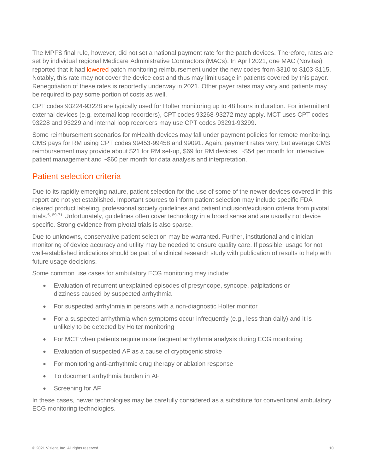The MPFS final rule, however, did not set a national payment rate for the patch devices. Therefore, rates are set by individual regional Medicare Administrative Contractors (MACs). In April 2021, one MAC (Novitas) reported that it had [lowered](https://finance.yahoo.com/news/irhythm-technologies-provides-statement-medicare-110000660.html?guccounter=1&guce_referrer=aHR0cHM6Ly93d3cuZ29vZ2xlLmNvbS8&guce_referrer_sig=AQAAAKLXxHVFtqAGMKt25oCiEGvxZuD6hHN6NSR53eDAJOMTzUreiitrf4oX3OBcZuZqaDz9YQB_24hGLIF81rB1q6NDFd8_arIbiy_CFPU90aE9bd29h7RIC0nJRLDqNtE73NRZUGY8iXMYYR7_IpHq0Ql35n1LRv-q_Y21bEjkXPFH) patch monitoring reimbursement under the new codes from \$310 to \$103-\$115. Notably, this rate may not cover the device cost and thus may limit usage in patients covered by this payer. Renegotiation of these rates is reportedly underway in 2021. Other payer rates may vary and patients may be required to pay some portion of costs as well.

CPT codes 93224-93228 are typically used for Holter monitoring up to 48 hours in duration. For intermittent external devices (e.g. external loop recorders), CPT codes 93268-93272 may apply. MCT uses CPT codes 93228 and 93229 and internal loop recorders may use CPT codes 93291-93299.

Some reimbursement scenarios for mHealth devices may fall under payment policies for remote monitoring. CMS pays for RM using CPT codes 99453-99458 and 99091. Again, payment rates vary, but average CMS reimbursement may provide about \$21 for RM set-up, \$69 for RM devices, ~\$54 per month for interactive patient management and ~\$60 per month for data analysis and interpretation.

#### Patient selection criteria

Due to its rapidly emerging nature, patient selection for the use of some of the newer devices covered in this report are not yet established. Important sources to inform patient selection may include specific FDA cleared product labeling, professional society guidelines and patient inclusion/exclusion criteria from pivotal trials.<sup>5, 69-71</sup> Unfortunately, guidelines often cover technology in a broad sense and are usually not device specific. Strong evidence from pivotal trials is also sparse.

Due to unknowns, conservative patient selection may be warranted. Further, institutional and clinician monitoring of device accuracy and utility may be needed to ensure quality care. If possible, usage for not well-established indications should be part of a clinical research study with publication of results to help with future usage decisions.

Some common use cases for ambulatory ECG monitoring may include:

- Evaluation of recurrent unexplained episodes of presyncope, syncope, palpitations or dizziness caused by suspected arrhythmia
- For suspected arrhythmia in persons with a non-diagnostic Holter monitor
- For a suspected arrhythmia when symptoms occur infrequently (e.g., less than daily) and it is unlikely to be detected by Holter monitoring
- For MCT when patients require more frequent arrhythmia analysis during ECG monitoring
- Evaluation of suspected AF as a cause of cryptogenic stroke
- For monitoring anti-arrhythmic drug therapy or ablation response
- To document arrhythmia burden in AF
- Screening for AF

In these cases, newer technologies may be carefully considered as a substitute for conventional ambulatory ECG monitoring technologies.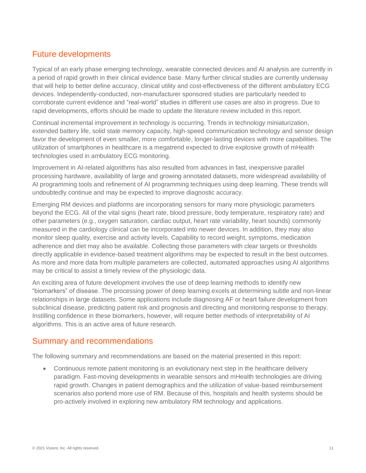# Future developments

Typical of an early phase emerging technology, wearable connected devices and AI analysis are currently in a period of rapid growth in their clinical evidence base. Many further clinical studies are currently underway that will help to better define accuracy, clinical utility and cost-effectiveness of the different ambulatory ECG devices. Independently-conducted, non-manufacturer sponsored studies are particularly needed to corroborate current evidence and "real-world" studies in different use cases are also in progress. Due to rapid developments, efforts should be made to update the literature review included in this report.

Continual incremental improvement in technology is occurring. Trends in technology miniaturization, extended battery life, solid state memory capacity, high-speed communication technology and sensor design favor the development of even smaller, more comfortable, longer-lasting devices with more capabilities. The utilization of smartphones in healthcare is a megatrend expected to drive explosive growth of mHealth technologies used in ambulatory ECG monitoring.

Improvement in AI-related algorithms has also resulted from advances in fast, inexpensive parallel processing hardware, availability of large and growing annotated datasets, more widespread availability of AI programming tools and refinement of AI programming techniques using deep learning. These trends will undoubtedly continue and may be expected to improve diagnostic accuracy.

Emerging RM devices and platforms are incorporating sensors for many more physiologic parameters beyond the ECG. All of the vital signs (heart rate, blood pressure, body temperature, respiratory rate) and other parameters (e.g., oxygen saturation, cardiac output, heart rate variability, heart sounds) commonly measured in the cardiology clinical can be incorporated into newer devices. In addition, they may also monitor sleep quality, exercise and activity levels. Capability to record weight, symptoms, medication adherence and diet may also be available. Collecting those parameters with clear targets or thresholds directly applicable in evidence-based treatment algorithms may be expected to result in the best outcomes. As more and more data from multiple parameters are collected, automated approaches using AI algorithms may be critical to assist a timely review of the physiologic data.

An exciting area of future development involves the use of deep learning methods to identify new "biomarkers" of disease. The processing power of deep learning excels at determining subtle and non-linear relationships in large datasets. Some applications include diagnosing AF or heart failure development from subclinical disease, predicting patient risk and prognosis and directing and monitoring response to therapy. Instilling confidence in these biomarkers, however, will require better methods of interpretability of AI algorithms. This is an active area of future research.

#### Summary and recommendations

The following summary and recommendations are based on the material presented in this report:

• Continuous remote patient monitoring is an evolutionary next step in the healthcare delivery paradigm. Fast-moving developments in wearable sensors and mHealth technologies are driving rapid growth. Changes in patient demographics and the utilization of value-based reimbursement scenarios also portend more use of RM. Because of this, hospitals and health systems should be pro-actively involved in exploring new ambulatory RM technology and applications.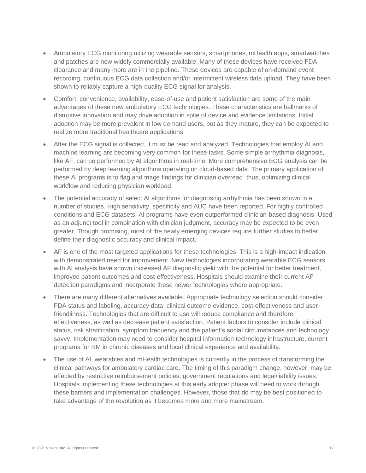- Ambulatory ECG monitoring utilizing wearable sensors, smartphones, mHealth apps, smartwatches and patches are now widely commercially available. Many of these devices have received FDA clearance and many more are in the pipeline. These devices are capable of on-demand event recording, continuous ECG data collection and/or intermittent wireless data upload. They have been shown to reliably capture a high-quality ECG signal for analysis.
- Comfort, convenience, availability, ease-of-use and patient satisfaction are some of the main advantages of these new ambulatory ECG technologies. These characteristics are hallmarks of disruptive innovation and may drive adoption in spite of device and evidence limitations. Initial adoption may be more prevalent in low demand users, but as they mature, they can be expected to realize more traditional healthcare applications.
- After the ECG signal is collected, it must be read and analyzed. Technologies that employ AI and machine learning are becoming very common for these tasks. Some simple arrhythmia diagnosis, like AF, can be performed by AI algorithms in real-time. More comprehensive ECG analysis can be performed by deep learning algorithms operating on cloud-based data. The primary application of these AI programs is to flag and triage findings for clinician overread; thus, optimizing clinical workflow and reducing physician workload.
- The potential accuracy of select AI algorithms for diagnosing arrhythmia has been shown in a number of studies. High sensitivity, specificity and AUC have been reported. For highly controlled conditions and ECG datasets, AI programs have even outperformed clinician-based diagnosis. Used as an adjunct tool in combination with clinician judgment, accuracy may be expected to be even greater. Though promising, most of the newly emerging devices require further studies to better define their diagnostic accuracy and clinical impact.
- AF is one of the most targeted applications for these technologies. This is a high-impact indication with demonstrated need for improvement. New technologies incorporating wearable ECG sensors with AI analysis have shown increased AF diagnostic yield with the potential for better treatment, improved patient outcomes and cost-effectiveness. Hospitals should examine their current AF detection paradigms and incorporate these newer technologies where appropriate.
- There are many different alternatives available. Appropriate technology selection should consider FDA status and labeling, accuracy data, clinical outcome evidence, cost-effectiveness and userfriendliness. Technologies that are difficult to use will reduce compliance and therefore effectiveness, as well as decrease patient satisfaction. Patient factors to consider include clinical status, risk stratification, symptom frequency and the patient's social circumstances and technology savvy. Implementation may need to consider hospital information technology infrastructure, current programs for RM in chronic diseases and local clinical experience and availability.
- The use of AI, wearables and mHealth technologies is currently in the process of transforming the clinical pathways for ambulatory cardiac care. The timing of this paradigm change, however, may be affected by restrictive reimbursement policies, government regulations and legal/liability issues. Hospitals implementing these technologies at this early adopter phase will need to work through these barriers and implementation challenges. However, those that do may be best positioned to take advantage of the revolution as it becomes more and more mainstream.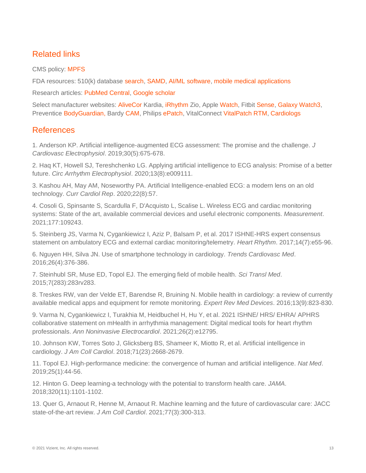# Related links

CMS policy: [MPFS](https://www.cms.gov/Medicare/Medicare-Fee-for-Service-Payment/PhysicianFeeSched)

FDA resources: 510(k) database [search,](https://www.accessdata.fda.gov/scripts/cdrh/cfdocs/cfpmn/pmn.cfm) [SAMD,](https://www.fda.gov/medical-devices/digital-health-center-excellence/software-medical-device-samd) [AI/ML software,](https://www.fda.gov/medical-devices/software-medical-device-samd/artificial-intelligence-and-machine-learning-software-medical-device) [mobile medical applications](https://www.fda.gov/medical-devices/digital-health-center-excellence/device-software-functions-including-mobile-medical-applications)

Research articles: [PubMed Central,](https://www.ncbi.nlm.nih.gov/pmc/?term=ai+ecg+analysis) [Google scholar](https://scholar.google.com/scholar?hl=en&as_sdt=1%2C14&q=ai+ecg+analysis+&btnG=)

Select manufacturer websites: [AliveCor](https://clinicians.alivecor.com/) Kardia, [iRhythm](https://www.irhythmtech.com/) Zio, Apple [Watch,](https://www.apple.com/healthcare/apple-watch/) Fitbit [Sense,](https://www.fitbit.com/global/us/technology/ecg) [Galaxy Watch3,](https://news.samsung.com/global/fda-cleared-electrocardiogram-monitor-app-is-available-in-the-us-starting-today-on-galaxy-watch3-and-galaxy-watch-active2) Preventice [BodyGuardian,](https://www.preventicesolutions.com/healthcare-professionals/) Bardy [CAM,](https://www.bardydx.com/solutions/cam/) Philips [ePatch,](https://www.gobio.com/heart-monitoring/) VitalConnect [VitalPatch RTM,](https://vitalconnect.com/cardiac-monitoring/) [Cardiologs](https://cardiologs.com/)

#### References

1. Anderson KP. Artificial intelligence-augmented ECG assessment: The promise and the challenge. *J Cardiovasc Electrophysiol*. 2019;30(5):675-678.

2. Haq KT, Howell SJ, Tereshchenko LG. Applying artificial intelligence to ECG analysis: Promise of a better future. *Circ Arrhythm Electrophysiol*. 2020;13(8):e009111.

3. Kashou AH, May AM, Noseworthy PA. Artificial Intelligence-enabled ECG: a modern lens on an old technology. *Curr Cardiol Rep*. 2020;22(8):57.

4. Cosoli G, Spinsante S, Scardulla F, D'Acquisto L, Scalise L. Wireless ECG and cardiac monitoring systems: State of the art, available commercial devices and useful electronic components. *Measurement*. 2021;177:109243.

5. Steinberg JS, Varma N, Cygankiewicz I, Aziz P, Balsam P, et al. 2017 ISHNE-HRS expert consensus statement on ambulatory ECG and external cardiac monitoring/telemetry. *Heart Rhythm*. 2017;14(7):e55-96.

6. Nguyen HH, Silva JN. Use of smartphone technology in cardiology. *Trends Cardiovasc Med*. 2016;26(4):376-386.

7. Steinhubl SR, Muse ED, Topol EJ. The emerging field of mobile health. *Sci Transl Med*. 2015;7(283):283rv283.

8. Treskes RW, van der Velde ET, Barendse R, Bruining N. Mobile health in cardiology: a review of currently available medical apps and equipment for remote monitoring. *Expert Rev Med Devices*. 2016;13(9):823-830.

9. Varma N, Cygankiewicz I, Turakhia M, Heidbuchel H, Hu Y, et al. 2021 ISHNE/ HRS/ EHRA/ APHRS collaborative statement on mHealth in arrhythmia management: Digital medical tools for heart rhythm professionals. *Ann Noninvasive Electrocardiol*. 2021;26(2):e12795.

10. Johnson KW, Torres Soto J, Glicksberg BS, Shameer K, Miotto R, et al. Artificial intelligence in cardiology. *J Am Coll Cardiol*. 2018;71(23):2668-2679.

11. Topol EJ. High-performance medicine: the convergence of human and artificial intelligence. *Nat Med*. 2019;25(1):44-56.

12. Hinton G. Deep learning-a technology with the potential to transform health care. *JAMA*. 2018;320(11):1101-1102.

13. Quer G, Arnaout R, Henne M, Arnaout R. Machine learning and the future of cardiovascular care: JACC state-of-the-art review. *J Am Coll Cardiol*. 2021;77(3):300-313.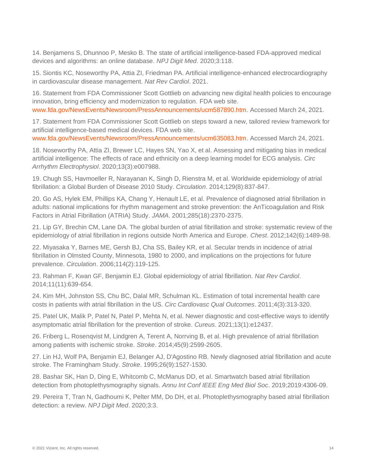14. Benjamens S, Dhunnoo P, Mesko B. The state of artificial intelligence-based FDA-approved medical devices and algorithms: an online database. *NPJ Digit Med*. 2020;3:118.

15. Siontis KC, Noseworthy PA, Attia ZI, Friedman PA. Artificial intelligence-enhanced electrocardiography in cardiovascular disease management. *Nat Rev Cardiol*. 2021.

16. Statement from FDA Commissioner Scott Gottlieb on advancing new digital health policies to encourage innovation, bring efficiency and modernization to regulation. FDA web site. [www.fda.gov/NewsEvents/Newsroom/PressAnnouncements/ucm587890.htm.](www.fda.gov/NewsEvents/Newsroom/PressAnnouncements/ucm587890.htm) Accessed March 24, 2021.

17. Statement from FDA Commissioner Scott Gottlieb on steps toward a new, tailored review framework for artificial intelligence-based medical devices. FDA web site.

[www.fda.gov/NewsEvents/Newsroom/PressAnnouncements/ucm635083.htm.](www.fda.gov/NewsEvents/Newsroom/PressAnnouncements/ucm635083.htm) Accessed March 24, 2021.

18. Noseworthy PA, Attia ZI, Brewer LC, Hayes SN, Yao X, et al. Assessing and mitigating bias in medical artificial intelligence: The effects of race and ethnicity on a deep learning model for ECG analysis. *Circ Arrhythm Electrophysiol*. 2020;13(3):e007988.

19. Chugh SS, Havmoeller R, Narayanan K, Singh D, Rienstra M, et al. Worldwide epidemiology of atrial fibrillation: a Global Burden of Disease 2010 Study. *Circulation*. 2014;129(8):837-847.

20. Go AS, Hylek EM, Phillips KA, Chang Y, Henault LE, et al. Prevalence of diagnosed atrial fibrillation in adults: national implications for rhythm management and stroke prevention: the AnTicoagulation and Risk Factors in Atrial Fibrillation (ATRIA) Study. *JAMA*. 2001;285(18):2370-2375.

21. Lip GY, Brechin CM, Lane DA. The global burden of atrial fibrillation and stroke: systematic review of the epidemiology of atrial fibrillation in regions outside North America and Europe. *Chest*. 2012;142(6):1489-98.

22. Miyasaka Y, Barnes ME, Gersh BJ, Cha SS, Bailey KR, et al. Secular trends in incidence of atrial fibrillation in Olmsted County, Minnesota, 1980 to 2000, and implications on the projections for future prevalence. *Circulation*. 2006;114(2):119-125.

23. Rahman F, Kwan GF, Benjamin EJ. Global epidemiology of atrial fibrillation. *Nat Rev Cardiol*. 2014;11(11):639-654.

24. Kim MH, Johnston SS, Chu BC, Dalal MR, Schulman KL. Estimation of total incremental health care costs in patients with atrial fibrillation in the US. *Circ Cardiovasc Qual Outcomes*. 2011;4(3):313-320.

25. Patel UK, Malik P, Patel N, Patel P, Mehta N, et al. Newer diagnostic and cost-effective ways to identify asymptomatic atrial fibrillation for the prevention of stroke. *Cureus*. 2021;13(1):e12437.

26. Friberg L, Rosenqvist M, Lindgren A, Terent A, Norrving B, et al. High prevalence of atrial fibrillation among patients with ischemic stroke. *Stroke*. 2014;45(9):2599-2605.

27. Lin HJ, Wolf PA, Benjamin EJ, Belanger AJ, D'Agostino RB. Newly diagnosed atrial fibrillation and acute stroke. The Framingham Study. *Stroke*. 1995;26(9):1527-1530.

28. Bashar SK, Han D, Ding E, Whitcomb C, McManus DD, et al. Smartwatch based atrial fibrillation detection from photoplethysmography signals. *Annu Int Conf IEEE Eng Med Biol Soc*. 2019;2019:4306-09.

29. Pereira T, Tran N, Gadhoumi K, Pelter MM, Do DH, et al. Photoplethysmography based atrial fibrillation detection: a review. *NPJ Digit Med*. 2020;3:3.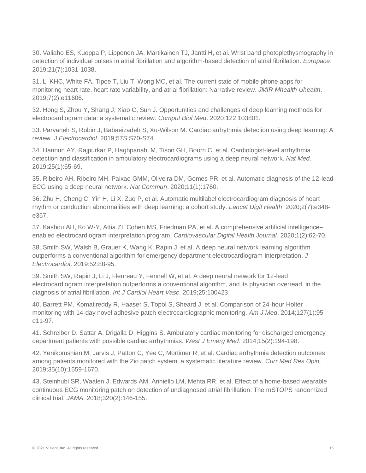30. Valiaho ES, Kuoppa P, Lipponen JA, Martikainen TJ, Jantti H, et al. Wrist band photoplethysmography in detection of individual pulses in atrial fibrillation and algorithm-based detection of atrial fibrillation. *Europace*. 2019;21(7):1031-1038.

31. Li KHC, White FA, Tipoe T, Liu T, Wong MC, et al. The current state of mobile phone apps for monitoring heart rate, heart rate variability, and atrial fibrillation: Narrative review. *JMIR Mhealth Uhealth*. 2019;7(2):e11606.

32. Hong S, Zhou Y, Shang J, Xiao C, Sun J. Opportunities and challenges of deep learning methods for electrocardiogram data: a systematic review. *Comput Biol Med*. 2020;122:103801.

33. Parvaneh S, Rubin J, Babaeizadeh S, Xu-Wilson M. Cardiac arrhythmia detection using deep learning: A review. *J Electrocardiol*. 2019;57S:S70-S74.

34. Hannun AY, Rajpurkar P, Haghpanahi M, Tison GH, Bourn C, et al. Cardiologist-level arrhythmia detection and classification in ambulatory electrocardiograms using a deep neural network. *Nat Med*. 2019;25(1):65-69.

35. Ribeiro AH, Ribeiro MH, Paixao GMM, Oliveira DM, Gomes PR, et al. Automatic diagnosis of the 12-lead ECG using a deep neural network. *Nat Commun*. 2020;11(1):1760.

36. Zhu H, Cheng C, Yin H, Li X, Zuo P, et al. Automatic multilabel electrocardiogram diagnosis of heart rhythm or conduction abnormalities with deep learning: a cohort study. *Lancet Digit Health*. 2020;2(7):e348 e357.

37. Kashou AH, Ko W-Y, Attia ZI, Cohen MS, Friedman PA, et al. A comprehensive artificial intelligence– enabled electrocardiogram interpretation program. *Cardiovascular Digital Health Journal*. 2020;1(2):62-70.

38. Smith SW, Walsh B, Grauer K, Wang K, Rapin J, et al. A deep neural network learning algorithm outperforms a conventional algorithm for emergency department electrocardiogram interpretation. *J Electrocardiol*. 2019;52:88-95.

39. Smith SW, Rapin J, Li J, Fleureau Y, Fennell W, et al. A deep neural network for 12-lead electrocardiogram interpretation outperforms a conventional algorithm, and its physician overread, in the diagnosis of atrial fibrillation. *Int J Cardiol Heart Vasc*. 2019;25:100423.

40. Barrett PM, Komatireddy R, Haaser S, Topol S, Sheard J, et al. Comparison of 24-hour Holter monitoring with 14-day novel adhesive patch electrocardiographic monitoring. *Am J Med*. 2014;127(1):95 e11-97.

41. Schreiber D, Sattar A, Drigalla D, Higgins S. Ambulatory cardiac monitoring for discharged emergency department patients with possible cardiac arrhythmias. *West J Emerg Med*. 2014;15(2):194-198.

42. Yenikomshian M, Jarvis J, Patton C, Yee C, Mortimer R, et al. Cardiac arrhythmia detection outcomes among patients monitored with the Zio patch system: a systematic literature review. *Curr Med Res Opin*. 2019;35(10):1659-1670.

43. Steinhubl SR, Waalen J, Edwards AM, Ariniello LM, Mehta RR, et al. Effect of a home-based wearable continuous ECG monitoring patch on detection of undiagnosed atrial fibrillation: The mSTOPS randomized clinical trial. *JAMA*. 2018;320(2):146-155.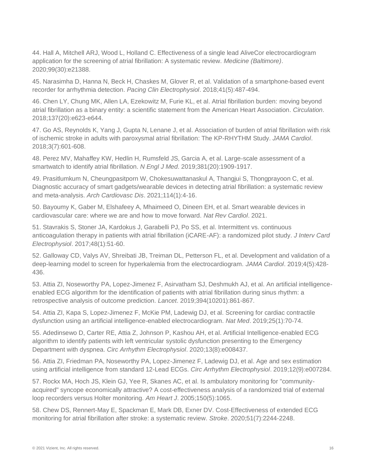44. Hall A, Mitchell ARJ, Wood L, Holland C. Effectiveness of a single lead AliveCor electrocardiogram application for the screening of atrial fibrillation: A systematic review. *Medicine (Baltimore)*. 2020;99(30):e21388.

45. Narasimha D, Hanna N, Beck H, Chaskes M, Glover R, et al. Validation of a smartphone-based event recorder for arrhythmia detection. *Pacing Clin Electrophysiol*. 2018;41(5):487-494.

46. Chen LY, Chung MK, Allen LA, Ezekowitz M, Furie KL, et al. Atrial fibrillation burden: moving beyond atrial fibrillation as a binary entity: a scientific statement from the American Heart Association. *Circulation*. 2018;137(20):e623-e644.

47. Go AS, Reynolds K, Yang J, Gupta N, Lenane J, et al. Association of burden of atrial fibrillation with risk of ischemic stroke in adults with paroxysmal atrial fibrillation: The KP-RHYTHM Study. *JAMA Cardiol*. 2018;3(7):601-608.

48. Perez MV, Mahaffey KW, Hedlin H, Rumsfeld JS, Garcia A, et al. Large-scale assessment of a smartwatch to identify atrial fibrillation. *N Engl J Med*. 2019;381(20):1909-1917.

49. Prasitlumkum N, Cheungpasitporn W, Chokesuwattanaskul A, Thangjui S, Thongprayoon C, et al. Diagnostic accuracy of smart gadgets/wearable devices in detecting atrial fibrillation: a systematic review and meta-analysis. *Arch Cardiovasc Dis*. 2021;114(1):4-16.

50. Bayoumy K, Gaber M, Elshafeey A, Mhaimeed O, Dineen EH, et al. Smart wearable devices in cardiovascular care: where we are and how to move forward. *Nat Rev Cardiol*. 2021.

51. Stavrakis S, Stoner JA, Kardokus J, Garabelli PJ, Po SS, et al. Intermittent vs. continuous anticoagulation therapy in patients with atrial fibrillation (iCARE-AF): a randomized pilot study. *J Interv Card Electrophysiol*. 2017;48(1):51-60.

52. Galloway CD, Valys AV, Shreibati JB, Treiman DL, Petterson FL, et al. Development and validation of a deep-learning model to screen for hyperkalemia from the electrocardiogram. *JAMA Cardiol*. 2019;4(5):428- 436.

53. Attia ZI, Noseworthy PA, Lopez-Jimenez F, Asirvatham SJ, Deshmukh AJ, et al. An artificial intelligenceenabled ECG algorithm for the identification of patients with atrial fibrillation during sinus rhythm: a retrospective analysis of outcome prediction. *Lancet*. 2019;394(10201):861-867.

54. Attia ZI, Kapa S, Lopez-Jimenez F, McKie PM, Ladewig DJ, et al. Screening for cardiac contractile dysfunction using an artificial intelligence-enabled electrocardiogram. *Nat Med*. 2019;25(1):70-74.

55. Adedinsewo D, Carter RE, Attia Z, Johnson P, Kashou AH, et al. Artificial Intelligence-enabled ECG algorithm to identify patients with left ventricular systolic dysfunction presenting to the Emergency Department with dyspnea. *Circ Arrhythm Electrophysiol*. 2020;13(8):e008437.

56. Attia ZI, Friedman PA, Noseworthy PA, Lopez-Jimenez F, Ladewig DJ, et al. Age and sex estimation using artificial intelligence from standard 12-Lead ECGs. *Circ Arrhythm Electrophysiol*. 2019;12(9):e007284.

57. Rockx MA, Hoch JS, Klein GJ, Yee R, Skanes AC, et al. Is ambulatory monitoring for "communityacquired" syncope economically attractive? A cost-effectiveness analysis of a randomized trial of external loop recorders versus Holter monitoring. *Am Heart J*. 2005;150(5):1065.

58. Chew DS, Rennert-May E, Spackman E, Mark DB, Exner DV. Cost-Effectiveness of extended ECG monitoring for atrial fibrillation after stroke: a systematic review. *Stroke*. 2020;51(7):2244-2248.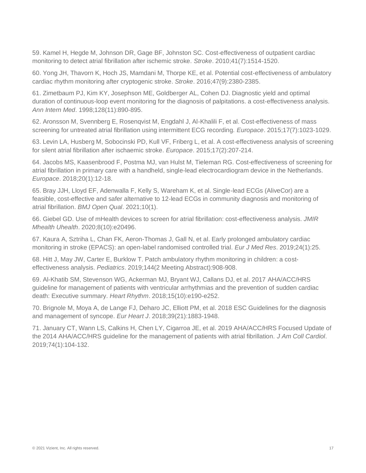59. Kamel H, Hegde M, Johnson DR, Gage BF, Johnston SC. Cost-effectiveness of outpatient cardiac monitoring to detect atrial fibrillation after ischemic stroke. *Stroke*. 2010;41(7):1514-1520.

60. Yong JH, Thavorn K, Hoch JS, Mamdani M, Thorpe KE, et al. Potential cost-effectiveness of ambulatory cardiac rhythm monitoring after cryptogenic stroke. *Stroke*. 2016;47(9):2380-2385.

61. Zimetbaum PJ, Kim KY, Josephson ME, Goldberger AL, Cohen DJ. Diagnostic yield and optimal duration of continuous-loop event monitoring for the diagnosis of palpitations. a cost-effectiveness analysis. *Ann Intern Med*. 1998;128(11):890-895.

62. Aronsson M, Svennberg E, Rosenqvist M, Engdahl J, Al-Khalili F, et al. Cost-effectiveness of mass screening for untreated atrial fibrillation using intermittent ECG recording. *Europace*. 2015;17(7):1023-1029.

63. Levin LA, Husberg M, Sobocinski PD, Kull VF, Friberg L, et al. A cost-effectiveness analysis of screening for silent atrial fibrillation after ischaemic stroke. *Europace*. 2015;17(2):207-214.

64. Jacobs MS, Kaasenbrood F, Postma MJ, van Hulst M, Tieleman RG. Cost-effectiveness of screening for atrial fibrillation in primary care with a handheld, single-lead electrocardiogram device in the Netherlands. *Europace*. 2018;20(1):12-18.

65. Bray JJH, Lloyd EF, Adenwalla F, Kelly S, Wareham K, et al. Single-lead ECGs (AliveCor) are a feasible, cost-effective and safer alternative to 12-lead ECGs in community diagnosis and monitoring of atrial fibrillation. *BMJ Open Qual*. 2021;10(1).

66. Giebel GD. Use of mHealth devices to screen for atrial fibrillation: cost-effectiveness analysis. *JMIR Mhealth Uhealth*. 2020;8(10):e20496.

67. Kaura A, Sztriha L, Chan FK, Aeron-Thomas J, Gall N, et al. Early prolonged ambulatory cardiac monitoring in stroke (EPACS): an open-label randomised controlled trial. *Eur J Med Res*. 2019;24(1):25.

68. Hitt J, May JW, Carter E, Burklow T. Patch ambulatory rhythm monitoring in children: a costeffectiveness analysis. *Pediatrics*. 2019;144(2 Meeting Abstract):908-908.

69. Al-Khatib SM, Stevenson WG, Ackerman MJ, Bryant WJ, Callans DJ, et al. 2017 AHA/ACC/HRS guideline for management of patients with ventricular arrhythmias and the prevention of sudden cardiac death: Executive summary. *Heart Rhythm*. 2018;15(10):e190-e252.

70. Brignole M, Moya A, de Lange FJ, Deharo JC, Elliott PM, et al. 2018 ESC Guidelines for the diagnosis and management of syncope. *Eur Heart J*. 2018;39(21):1883-1948.

71. January CT, Wann LS, Calkins H, Chen LY, Cigarroa JE, et al. 2019 AHA/ACC/HRS Focused Update of the 2014 AHA/ACC/HRS guideline for the management of patients with atrial fibrillation. *J Am Coll Cardiol*. 2019;74(1):104-132.